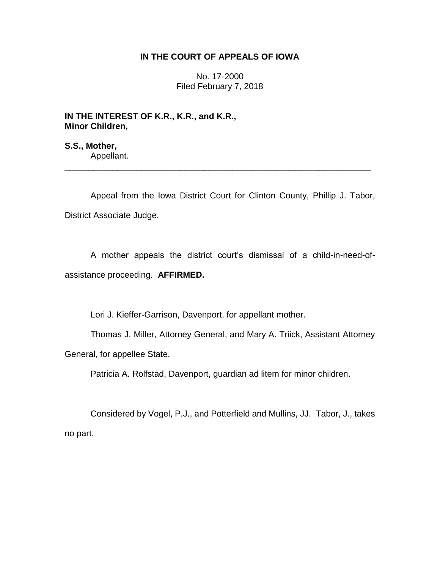## **IN THE COURT OF APPEALS OF IOWA**

No. 17-2000 Filed February 7, 2018

**IN THE INTEREST OF K.R., K.R., and K.R., Minor Children,**

**S.S., Mother,** Appellant.

Appeal from the Iowa District Court for Clinton County, Phillip J. Tabor, District Associate Judge.

\_\_\_\_\_\_\_\_\_\_\_\_\_\_\_\_\_\_\_\_\_\_\_\_\_\_\_\_\_\_\_\_\_\_\_\_\_\_\_\_\_\_\_\_\_\_\_\_\_\_\_\_\_\_\_\_\_\_\_\_\_\_\_\_

A mother appeals the district court's dismissal of a child-in-need-ofassistance proceeding. **AFFIRMED.**

Lori J. Kieffer-Garrison, Davenport, for appellant mother.

Thomas J. Miller, Attorney General, and Mary A. Triick, Assistant Attorney General, for appellee State.

Patricia A. Rolfstad, Davenport, guardian ad litem for minor children.

Considered by Vogel, P.J., and Potterfield and Mullins, JJ. Tabor, J., takes no part.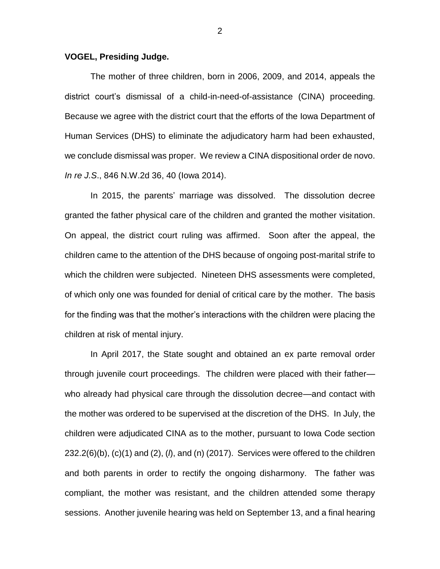## **VOGEL, Presiding Judge.**

The mother of three children, born in 2006, 2009, and 2014, appeals the district court's dismissal of a child-in-need-of-assistance (CINA) proceeding. Because we agree with the district court that the efforts of the Iowa Department of Human Services (DHS) to eliminate the adjudicatory harm had been exhausted, we conclude dismissal was proper. We review a CINA dispositional order de novo. *In re J.S*., 846 N.W.2d 36, 40 (Iowa 2014).

In 2015, the parents' marriage was dissolved. The dissolution decree granted the father physical care of the children and granted the mother visitation. On appeal, the district court ruling was affirmed. Soon after the appeal, the children came to the attention of the DHS because of ongoing post-marital strife to which the children were subjected. Nineteen DHS assessments were completed, of which only one was founded for denial of critical care by the mother. The basis for the finding was that the mother's interactions with the children were placing the children at risk of mental injury.

In April 2017, the State sought and obtained an ex parte removal order through juvenile court proceedings. The children were placed with their father who already had physical care through the dissolution decree—and contact with the mother was ordered to be supervised at the discretion of the DHS. In July, the children were adjudicated CINA as to the mother, pursuant to Iowa Code section 232.2(6)(b), (c)(1) and (2), (*l*), and (n) (2017). Services were offered to the children and both parents in order to rectify the ongoing disharmony. The father was compliant, the mother was resistant, and the children attended some therapy sessions. Another juvenile hearing was held on September 13, and a final hearing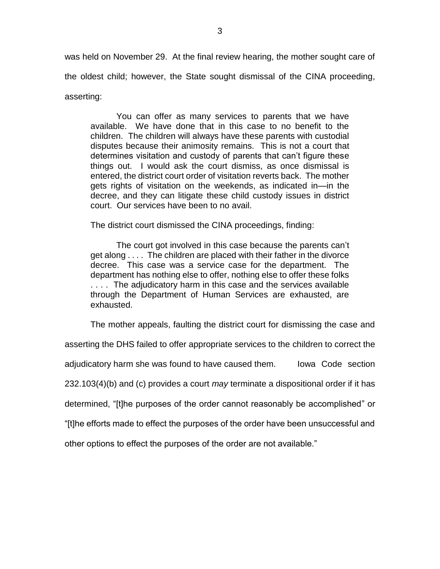was held on November 29. At the final review hearing, the mother sought care of the oldest child; however, the State sought dismissal of the CINA proceeding, asserting:

You can offer as many services to parents that we have available. We have done that in this case to no benefit to the children. The children will always have these parents with custodial disputes because their animosity remains. This is not a court that determines visitation and custody of parents that can't figure these things out. I would ask the court dismiss, as once dismissal is entered, the district court order of visitation reverts back. The mother gets rights of visitation on the weekends, as indicated in—in the decree, and they can litigate these child custody issues in district court. Our services have been to no avail.

The district court dismissed the CINA proceedings, finding:

The court got involved in this case because the parents can't get along . . . . The children are placed with their father in the divorce decree. This case was a service case for the department. The department has nothing else to offer, nothing else to offer these folks . . . . The adjudicatory harm in this case and the services available through the Department of Human Services are exhausted, are exhausted.

The mother appeals, faulting the district court for dismissing the case and

asserting the DHS failed to offer appropriate services to the children to correct the adjudicatory harm she was found to have caused them. Iowa Code section 232.103(4)(b) and (c) provides a court *may* terminate a dispositional order if it has determined, "[t]he purposes of the order cannot reasonably be accomplished" or "[t]he efforts made to effect the purposes of the order have been unsuccessful and

other options to effect the purposes of the order are not available."